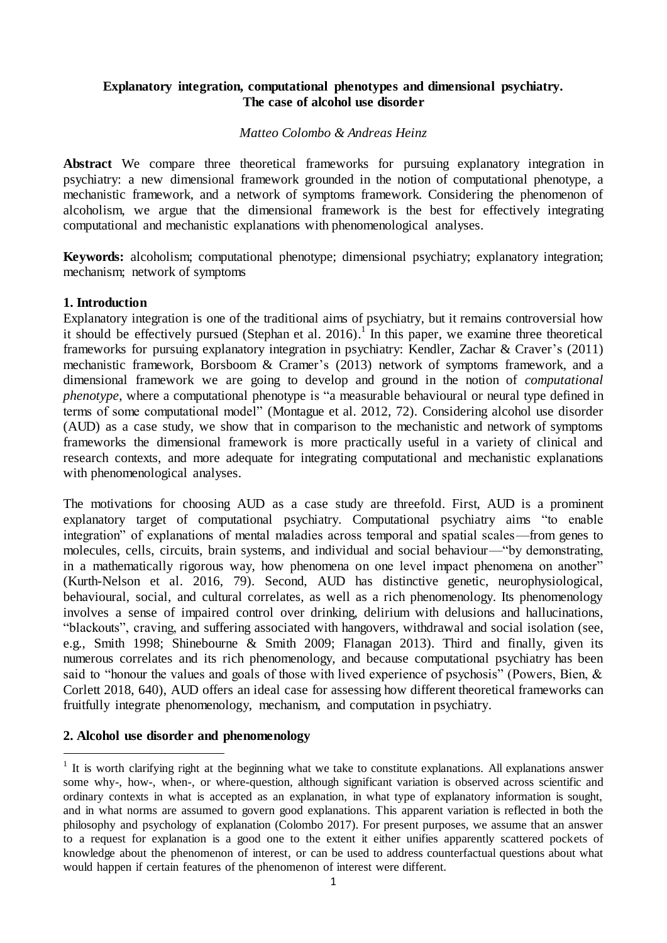# **Explanatory integration, computational phenotypes and dimensional psychiatry. The case of alcohol use disorder**

#### *Matteo Colombo & Andreas Heinz*

**Abstract** We compare three theoretical frameworks for pursuing explanatory integration in psychiatry: a new dimensional framework grounded in the notion of computational phenotype, a mechanistic framework, and a network of symptoms framework. Considering the phenomenon of alcoholism, we argue that the dimensional framework is the best for effectively integrating computational and mechanistic explanations with phenomenological analyses.

**Keywords:** alcoholism; computational phenotype; dimensional psychiatry; explanatory integration; mechanism; network of symptoms

#### **1. Introduction**

Explanatory integration is one of the traditional aims of psychiatry, but it remains controversial how it should be effectively pursued (Stephan et al. 2016).<sup>1</sup> In this paper, we examine three theoretical frameworks for pursuing explanatory integration in psychiatry: Kendler, Zachar & Craver's (2011) mechanistic framework, Borsboom & Cramer's (2013) network of symptoms framework, and a dimensional framework we are going to develop and ground in the notion of *computational phenotype*, where a computational phenotype is "a measurable behavioural or neural type defined in terms of some computational model" (Montague et al. 2012, 72). Considering alcohol use disorder (AUD) as a case study, we show that in comparison to the mechanistic and network of symptoms frameworks the dimensional framework is more practically useful in a variety of clinical and research contexts, and more adequate for integrating computational and mechanistic explanations with phenomenological analyses.

The motivations for choosing AUD as a case study are threefold. First, AUD is a prominent explanatory target of computational psychiatry. Computational psychiatry aims "to enable integration" of explanations of mental maladies across temporal and spatial scales—from genes to molecules, cells, circuits, brain systems, and individual and social behaviour—"by demonstrating, in a mathematically rigorous way, how phenomena on one level impact phenomena on another" (Kurth-Nelson et al. 2016, 79). Second, AUD has distinctive genetic, neurophysiological, behavioural, social, and cultural correlates, as well as a rich phenomenology. Its phenomenology involves a sense of impaired control over drinking, delirium with delusions and hallucinations, "blackouts", craving, and suffering associated with hangovers, withdrawal and social isolation (see, e.g., Smith 1998; Shinebourne & Smith 2009; Flanagan 2013). Third and finally, given its numerous correlates and its rich phenomenology, and because computational psychiatry has been said to "honour the values and goals of those with lived experience of psychosis" (Powers, Bien, & Corlett 2018, 640), AUD offers an ideal case for assessing how different theoretical frameworks can fruitfully integrate phenomenology, mechanism, and computation in psychiatry.

#### **2. Alcohol use disorder and phenomenology**

j

 $<sup>1</sup>$  It is worth clarifying right at the beginning what we take to constitute explanations. All explanations answer</sup> some why-, how-, when-, or where-question, although significant variation is observed across scientific and ordinary contexts in what is accepted as an explanation, in what type of explanatory information is sought, and in what norms are assumed to govern good explanations. This apparent variation is reflected in both the philosophy and psychology of explanation (Colombo 2017). For present purposes, we assume that an answer to a request for explanation is a good one to the extent it either unifies apparently scattered pockets of knowledge about the phenomenon of interest, or can be used to address counterfactual questions about what would happen if certain features of the phenomenon of interest were different.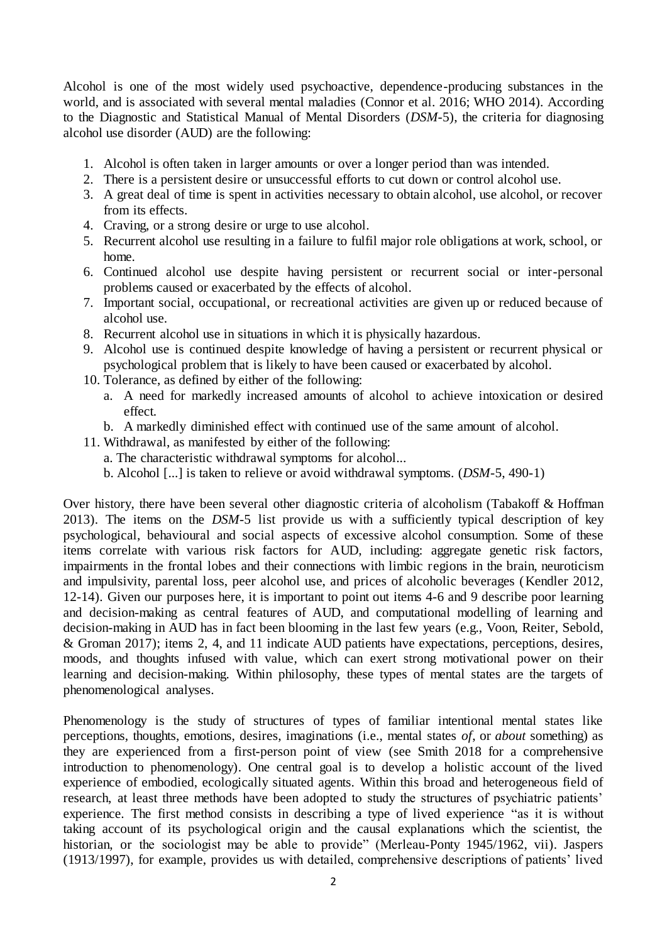Alcohol is one of the most widely used psychoactive, dependence-producing substances in the world, and is associated with several mental maladies (Connor et al. 2016; WHO 2014). According to the Diagnostic and Statistical Manual of Mental Disorders (*DSM-*5), the criteria for diagnosing alcohol use disorder (AUD) are the following:

- 1. Alcohol is often taken in larger amounts or over a longer period than was intended.
- 2. There is a persistent desire or unsuccessful efforts to cut down or control alcohol use.
- 3. A great deal of time is spent in activities necessary to obtain alcohol, use alcohol, or recover from its effects.
- 4. Craving, or a strong desire or urge to use alcohol.
- 5. Recurrent alcohol use resulting in a failure to fulfil major role obligations at work, school, or home.
- 6. Continued alcohol use despite having persistent or recurrent social or inter-personal problems caused or exacerbated by the effects of alcohol.
- 7. Important social, occupational, or recreational activities are given up or reduced because of alcohol use.
- 8. Recurrent alcohol use in situations in which it is physically hazardous.
- 9. Alcohol use is continued despite knowledge of having a persistent or recurrent physical or psychological problem that is likely to have been caused or exacerbated by alcohol.
- 10. Tolerance, as defined by either of the following:
	- a. A need for markedly increased amounts of alcohol to achieve intoxication or desired effect.
	- b. A markedly diminished effect with continued use of the same amount of alcohol.
- 11. Withdrawal, as manifested by either of the following:
	- a. The characteristic withdrawal symptoms for alcohol...
	- b. Alcohol [...] is taken to relieve or avoid withdrawal symptoms. (*DSM-*5, 490-1)

Over history, there have been several other diagnostic criteria of alcoholism (Tabakoff & Hoffman 2013). The items on the *DSM*-5 list provide us with a sufficiently typical description of key psychological, behavioural and social aspects of excessive alcohol consumption. Some of these items correlate with various risk factors for AUD, including: aggregate genetic risk factors, impairments in the frontal lobes and their connections with limbic regions in the brain, neuroticism and impulsivity, parental loss, peer alcohol use, and prices of alcoholic beverages (Kendler 2012, 12-14). Given our purposes here, it is important to point out items 4-6 and 9 describe poor learning and decision-making as central features of AUD, and computational modelling of learning and decision-making in AUD has in fact been blooming in the last few years (e.g., Voon, Reiter, Sebold, & Groman 2017); items 2, 4, and 11 indicate AUD patients have expectations, perceptions, desires, moods, and thoughts infused with value, which can exert strong motivational power on their learning and decision-making. Within philosophy, these types of mental states are the targets of phenomenological analyses.

Phenomenology is the study of structures of types of familiar intentional mental states like perceptions, thoughts, emotions, desires, imaginations (i.e., mental states *of*, or *about* something) as they are experienced from a first-person point of view (see Smith 2018 for a comprehensive introduction to phenomenology). One central goal is to develop a holistic account of the lived experience of embodied, ecologically situated agents. Within this broad and heterogeneous field of research, at least three methods have been adopted to study the structures of psychiatric patients' experience. The first method consists in describing a type of lived experience "as it is without taking account of its psychological origin and the causal explanations which the scientist, the historian, or the sociologist may be able to provide" (Merleau-Ponty 1945/1962, vii). Jaspers (1913/1997), for example, provides us with detailed, comprehensive descriptions of patients' lived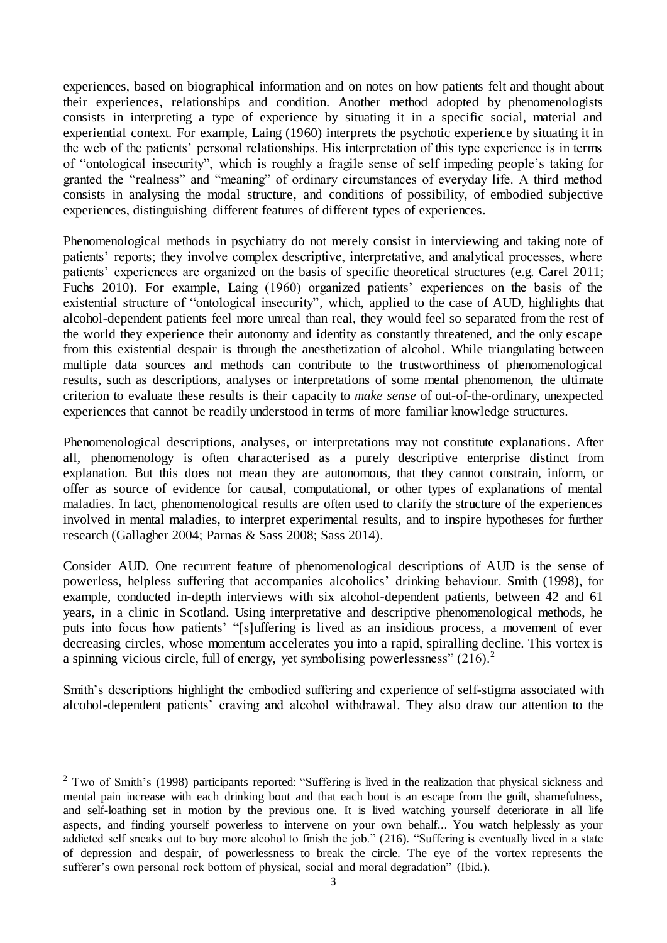experiences, based on biographical information and on notes on how patients felt and thought about their experiences, relationships and condition. Another method adopted by phenomenologists consists in interpreting a type of experience by situating it in a specific social, material and experiential context. For example, Laing (1960) interprets the psychotic experience by situating it in the web of the patients' personal relationships. His interpretation of this type experience is in terms of "ontological insecurity", which is roughly a fragile sense of self impeding people's taking for granted the "realness" and "meaning" of ordinary circumstances of everyday life. A third method consists in analysing the modal structure, and conditions of possibility, of embodied subjective experiences, distinguishing different features of different types of experiences.

Phenomenological methods in psychiatry do not merely consist in interviewing and taking note of patients' reports; they involve complex descriptive, interpretative, and analytical processes, where patients' experiences are organized on the basis of specific theoretical structures (e.g. Carel 2011; Fuchs 2010). For example, Laing (1960) organized patients' experiences on the basis of the existential structure of "ontological insecurity", which, applied to the case of AUD, highlights that alcohol-dependent patients feel more unreal than real, they would feel so separated from the rest of the world they experience their autonomy and identity as constantly threatened, and the only escape from this existential despair is through the anesthetization of alcohol. While triangulating between multiple data sources and methods can contribute to the trustworthiness of phenomenological results, such as descriptions, analyses or interpretations of some mental phenomenon, the ultimate criterion to evaluate these results is their capacity to *make sense* of out-of-the-ordinary, unexpected experiences that cannot be readily understood in terms of more familiar knowledge structures.

Phenomenological descriptions, analyses, or interpretations may not constitute explanations. After all, phenomenology is often characterised as a purely descriptive enterprise distinct from explanation. But this does not mean they are autonomous, that they cannot constrain, inform, or offer as source of evidence for causal, computational, or other types of explanations of mental maladies. In fact, phenomenological results are often used to clarify the structure of the experiences involved in mental maladies, to interpret experimental results, and to inspire hypotheses for further research (Gallagher 2004; Parnas & Sass 2008; Sass 2014).

Consider AUD. One recurrent feature of phenomenological descriptions of AUD is the sense of powerless, helpless suffering that accompanies alcoholics' drinking behaviour. Smith (1998), for example, conducted in-depth interviews with six alcohol-dependent patients, between 42 and 61 years, in a clinic in Scotland. Using interpretative and descriptive phenomenological methods, he puts into focus how patients' "[s]uffering is lived as an insidious process, a movement of ever decreasing circles, whose momentum accelerates you into a rapid, spiralling decline. This vortex is a spinning vicious circle, full of energy, yet symbolising powerlessness"  $(216)^2$ 

Smith's descriptions highlight the embodied suffering and experience of self-stigma associated with alcohol-dependent patients' craving and alcohol withdrawal. They also draw our attention to the

 $\overline{a}$ 

 $2$  Two of Smith's (1998) participants reported: "Suffering is lived in the realization that physical sickness and mental pain increase with each drinking bout and that each bout is an escape from the guilt, shamefulness, and self-loathing set in motion by the previous one. It is lived watching yourself deteriorate in all life aspects, and finding yourself powerless to intervene on your own behalf... You watch helplessly as your addicted self sneaks out to buy more alcohol to finish the job." (216). "Suffering is eventually lived in a state of depression and despair, of powerlessness to break the circle. The eye of the vortex represents the sufferer's own personal rock bottom of physical, social and moral degradation" (Ibid.).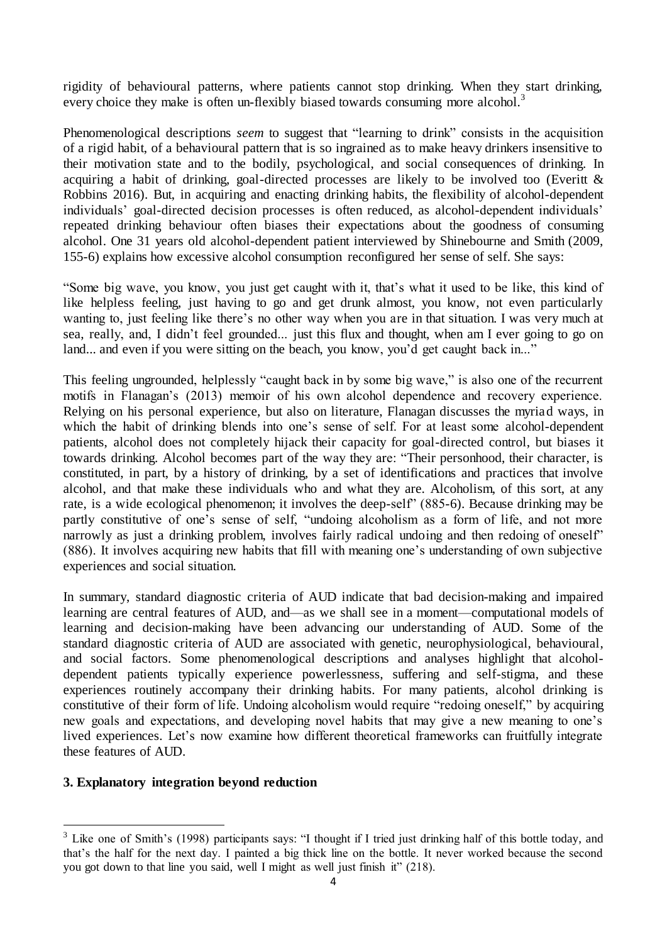rigidity of behavioural patterns, where patients cannot stop drinking. When they start drinking, every choice they make is often un-flexibly biased towards consuming more alcohol.<sup>3</sup>

Phenomenological descriptions *seem* to suggest that "learning to drink" consists in the acquisition of a rigid habit, of a behavioural pattern that is so ingrained as to make heavy drinkers insensitive to their motivation state and to the bodily, psychological, and social consequences of drinking. In acquiring a habit of drinking, goal-directed processes are likely to be involved too (Everitt & Robbins 2016). But, in acquiring and enacting drinking habits, the flexibility of alcohol-dependent individuals' goal-directed decision processes is often reduced, as alcohol-dependent individuals' repeated drinking behaviour often biases their expectations about the goodness of consuming alcohol. One 31 years old alcohol-dependent patient interviewed by Shinebourne and Smith (2009, 155-6) explains how excessive alcohol consumption reconfigured her sense of self. She says:

"Some big wave, you know, you just get caught with it, that's what it used to be like, this kind of like helpless feeling, just having to go and get drunk almost, you know, not even particularly wanting to, just feeling like there's no other way when you are in that situation. I was very much at sea, really, and, I didn't feel grounded... just this flux and thought, when am I ever going to go on land... and even if you were sitting on the beach, you know, you'd get caught back in..."

This feeling ungrounded, helplessly "caught back in by some big wave," is also one of the recurrent motifs in Flanagan's (2013) memoir of his own alcohol dependence and recovery experience. Relying on his personal experience, but also on literature, Flanagan discusses the myriad ways, in which the habit of drinking blends into one's sense of self. For at least some alcohol-dependent patients, alcohol does not completely hijack their capacity for goal-directed control, but biases it towards drinking. Alcohol becomes part of the way they are: "Their personhood, their character, is constituted, in part, by a history of drinking, by a set of identifications and practices that involve alcohol, and that make these individuals who and what they are. Alcoholism, of this sort, at any rate, is a wide ecological phenomenon; it involves the deep-self" (885-6). Because drinking may be partly constitutive of one's sense of self, "undoing alcoholism as a form of life, and not more narrowly as just a drinking problem, involves fairly radical undoing and then redoing of oneself" (886). It involves acquiring new habits that fill with meaning one's understanding of own subjective experiences and social situation.

In summary, standard diagnostic criteria of AUD indicate that bad decision-making and impaired learning are central features of AUD, and—as we shall see in a moment—computational models of learning and decision-making have been advancing our understanding of AUD. Some of the standard diagnostic criteria of AUD are associated with genetic, neurophysiological, behavioural, and social factors. Some phenomenological descriptions and analyses highlight that alcoholdependent patients typically experience powerlessness, suffering and self-stigma, and these experiences routinely accompany their drinking habits. For many patients, alcohol drinking is constitutive of their form of life. Undoing alcoholism would require "redoing oneself," by acquiring new goals and expectations, and developing novel habits that may give a new meaning to one's lived experiences. Let's now examine how different theoretical frameworks can fruitfully integrate these features of AUD.

#### **3. Explanatory integration beyond reduction**

 $\overline{a}$ 

<sup>&</sup>lt;sup>3</sup> Like one of Smith's (1998) participants says: "I thought if I tried just drinking half of this bottle today, and that's the half for the next day. I painted a big thick line on the bottle. It never worked because the second you got down to that line you said, well I might as well just finish it" (218).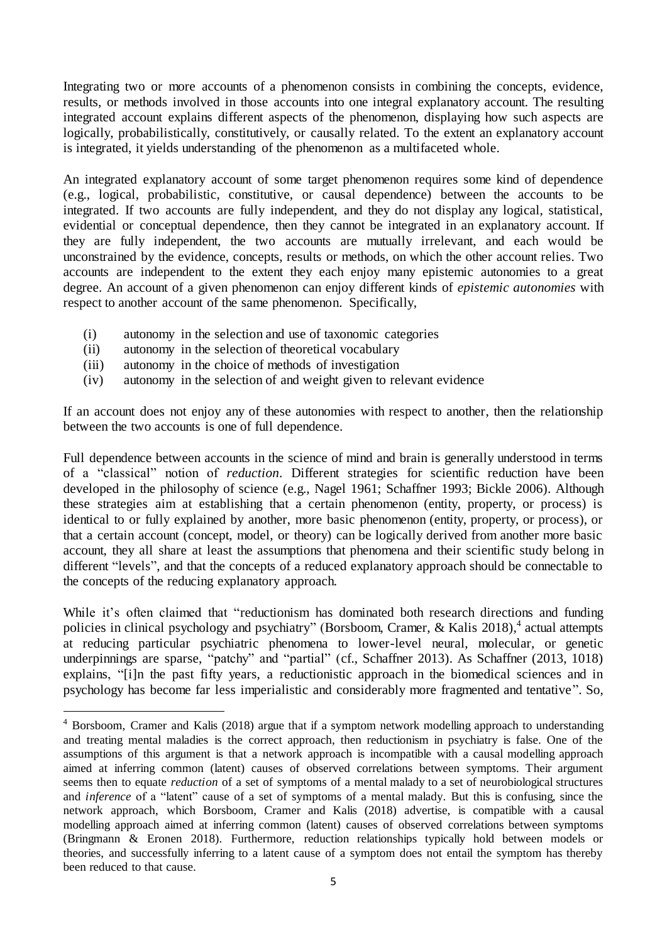Integrating two or more accounts of a phenomenon consists in combining the concepts, evidence, results, or methods involved in those accounts into one integral explanatory account. The resulting integrated account explains different aspects of the phenomenon, displaying how such aspects are logically, probabilistically, constitutively, or causally related. To the extent an explanatory account is integrated, it yields understanding of the phenomenon as a multifaceted whole.

An integrated explanatory account of some target phenomenon requires some kind of dependence (e.g., logical, probabilistic, constitutive, or causal dependence) between the accounts to be integrated. If two accounts are fully independent, and they do not display any logical, statistical, evidential or conceptual dependence, then they cannot be integrated in an explanatory account. If they are fully independent, the two accounts are mutually irrelevant, and each would be unconstrained by the evidence, concepts, results or methods, on which the other account relies. Two accounts are independent to the extent they each enjoy many epistemic autonomies to a great degree. An account of a given phenomenon can enjoy different kinds of *epistemic autonomies* with respect to another account of the same phenomenon. Specifically,

- (i) autonomy in the selection and use of taxonomic categories
- (ii) autonomy in the selection of theoretical vocabulary
- (iii) autonomy in the choice of methods of investigation

j

(iv) autonomy in the selection of and weight given to relevant evidence

If an account does not enjoy any of these autonomies with respect to another, then the relationship between the two accounts is one of full dependence.

Full dependence between accounts in the science of mind and brain is generally understood in terms of a "classical" notion of *reduction*. Different strategies for scientific reduction have been developed in the philosophy of science (e.g., Nagel 1961; Schaffner 1993; Bickle 2006). Although these strategies aim at establishing that a certain phenomenon (entity, property, or process) is identical to or fully explained by another, more basic phenomenon (entity, property, or process), or that a certain account (concept, model, or theory) can be logically derived from another more basic account, they all share at least the assumptions that phenomena and their scientific study belong in different "levels", and that the concepts of a reduced explanatory approach should be connectable to the concepts of the reducing explanatory approach.

While it's often claimed that "reductionism has dominated both research directions and funding policies in clinical psychology and psychiatry" (Borsboom, Cramer, & Kalis 2018),<sup>4</sup> actual attempts at reducing particular psychiatric phenomena to lower-level neural, molecular, or genetic underpinnings are sparse, "patchy" and "partial" (cf., Schaffner 2013). As Schaffner (2013, 1018) explains, "[i]n the past fifty years, a reductionistic approach in the biomedical sciences and in psychology has become far less imperialistic and considerably more fragmented and tentative". So,

<sup>4</sup> Borsboom, Cramer and Kalis (2018) argue that if a symptom network modelling approach to understanding and treating mental maladies is the correct approach, then reductionism in psychiatry is false. One of the assumptions of this argument is that a network approach is incompatible with a causal modelling approach aimed at inferring common (latent) causes of observed correlations between symptoms. Their argument seems then to equate *reduction* of a set of symptoms of a mental malady to a set of neurobiological structures and *inference* of a "latent" cause of a set of symptoms of a mental malady. But this is confusing, since the network approach, which Borsboom, Cramer and Kalis (2018) advertise, is compatible with a causal modelling approach aimed at inferring common (latent) causes of observed correlations between symptoms (Bringmann & Eronen 2018). Furthermore, reduction relationships typically hold between models or theories, and successfully inferring to a latent cause of a symptom does not entail the symptom has thereby been reduced to that cause.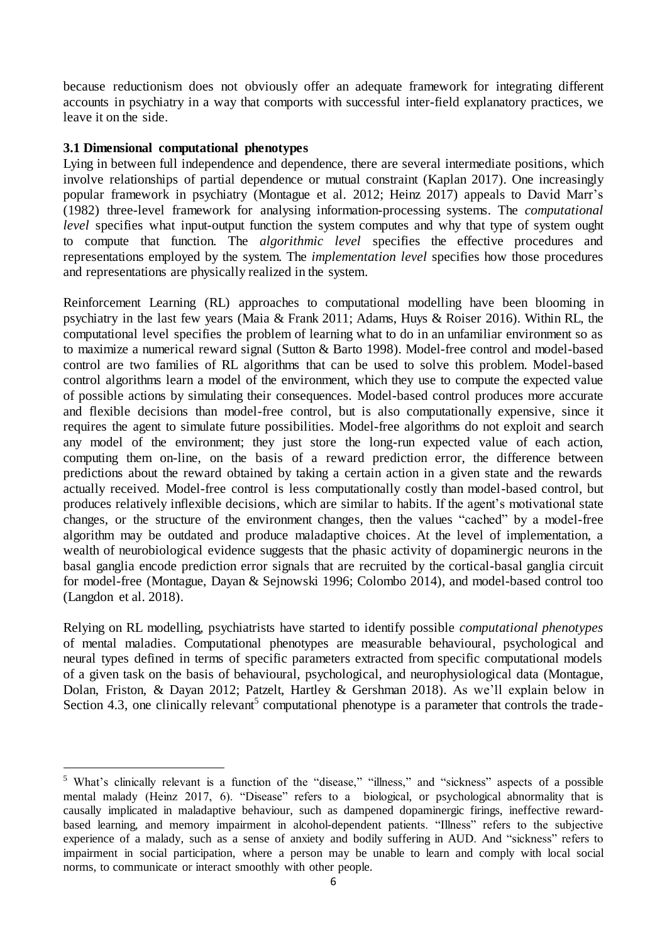because reductionism does not obviously offer an adequate framework for integrating different accounts in psychiatry in a way that comports with successful inter-field explanatory practices, we leave it on the side.

## **3.1 Dimensional computational phenotypes**

 $\overline{a}$ 

Lying in between full independence and dependence, there are several intermediate positions, which involve relationships of partial dependence or mutual constraint (Kaplan 2017). One increasingly popular framework in psychiatry (Montague et al. 2012; Heinz 2017) appeals to David Marr's (1982) three-level framework for analysing information-processing systems. The *computational level* specifies what input-output function the system computes and why that type of system ought to compute that function. The *algorithmic level* specifies the effective procedures and representations employed by the system. The *implementation level* specifies how those procedures and representations are physically realized in the system.

Reinforcement Learning (RL) approaches to computational modelling have been blooming in psychiatry in the last few years (Maia & Frank 2011; Adams, Huys & Roiser 2016). Within RL, the computational level specifies the problem of learning what to do in an unfamiliar environment so as to maximize a numerical reward signal (Sutton & Barto 1998). Model-free control and model-based control are two families of RL algorithms that can be used to solve this problem. Model-based control algorithms learn a model of the environment, which they use to compute the expected value of possible actions by simulating their consequences. Model-based control produces more accurate and flexible decisions than model-free control, but is also computationally expensive, since it requires the agent to simulate future possibilities. Model-free algorithms do not exploit and search any model of the environment; they just store the long-run expected value of each action, computing them on-line, on the basis of a reward prediction error, the difference between predictions about the reward obtained by taking a certain action in a given state and the rewards actually received. Model-free control is less computationally costly than model-based control, but produces relatively inflexible decisions, which are similar to habits. If the agent's motivational state changes, or the structure of the environment changes, then the values "cached" by a model-free algorithm may be outdated and produce maladaptive choices. At the level of implementation, a wealth of neurobiological evidence suggests that the phasic activity of dopaminergic neurons in the basal ganglia encode prediction error signals that are recruited by the cortical-basal ganglia circuit for model-free (Montague, Dayan & Sejnowski 1996; Colombo 2014), and model-based control too (Langdon et al. 2018).

Relying on RL modelling, psychiatrists have started to identify possible *computational phenotypes*  of mental maladies. Computational phenotypes are measurable behavioural, psychological and neural types defined in terms of specific parameters extracted from specific computational models of a given task on the basis of behavioural, psychological, and neurophysiological data (Montague, Dolan, Friston, & Dayan 2012; Patzelt, Hartley & Gershman 2018). As we'll explain below in Section 4.3, one clinically relevant<sup>5</sup> computational phenotype is a parameter that controls the trade-

<sup>5</sup> What's clinically relevant is a function of the "disease," "illness," and "sickness" aspects of a possible mental malady (Heinz 2017, 6). "Disease" refers to a biological, or psychological abnormality that is causally implicated in maladaptive behaviour, such as dampened dopaminergic firings, ineffective rewardbased learning, and memory impairment in alcohol-dependent patients. "Illness" refers to the subjective experience of a malady, such as a sense of anxiety and bodily suffering in AUD. And "sickness" refers to impairment in social participation, where a person may be unable to learn and comply with local social norms, to communicate or interact smoothly with other people.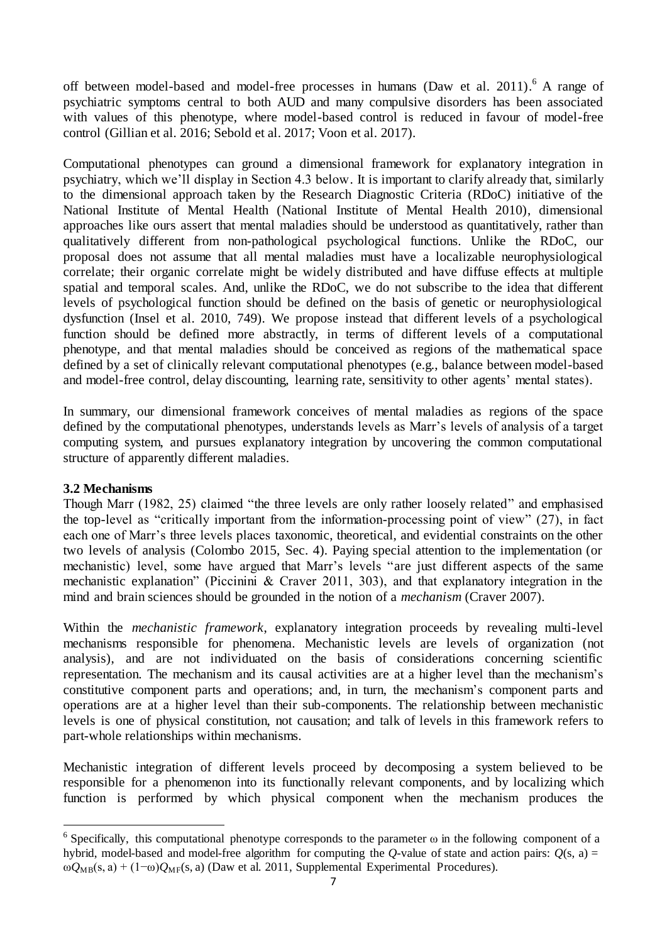off between model-based and model-free processes in humans (Daw et al. 2011). <sup>6</sup> A range of psychiatric symptoms central to both AUD and many compulsive disorders has been associated with values of this phenotype, where model-based control is reduced in favour of model-free control (Gillian et al. 2016; Sebold et al. 2017; Voon et al. 2017).

Computational phenotypes can ground a dimensional framework for explanatory integration in psychiatry, which we'll display in Section 4.3 below. It is important to clarify already that, similarly to the dimensional approach taken by the Research Diagnostic Criteria (RDoC) initiative of the National Institute of Mental Health (National Institute of Mental Health 2010), dimensional approaches like ours assert that mental maladies should be understood as quantitatively, rather than qualitatively different from non-pathological psychological functions. Unlike the RDoC, our proposal does not assume that all mental maladies must have a localizable neurophysiological correlate; their organic correlate might be widely distributed and have diffuse effects at multiple spatial and temporal scales. And, unlike the RDoC, we do not subscribe to the idea that different levels of psychological function should be defined on the basis of genetic or neurophysiological dysfunction (Insel et al. 2010, 749). We propose instead that different levels of a psychological function should be defined more abstractly, in terms of different levels of a computational phenotype, and that mental maladies should be conceived as regions of the mathematical space defined by a set of clinically relevant computational phenotypes (e.g., balance between model-based and model-free control, delay discounting, learning rate, sensitivity to other agents' mental states).

In summary, our dimensional framework conceives of mental maladies as regions of the space defined by the computational phenotypes, understands levels as Marr's levels of analysis of a target computing system, and pursues explanatory integration by uncovering the common computational structure of apparently different maladies.

# **3.2 Mechanisms**

 $\overline{a}$ 

Though Marr (1982, 25) claimed "the three levels are only rather loosely related" and emphasised the top-level as "critically important from the information-processing point of view" (27), in fact each one of Marr's three levels places taxonomic, theoretical, and evidential constraints on the other two levels of analysis (Colombo 2015, Sec. 4). Paying special attention to the implementation (or mechanistic) level, some have argued that Marr's levels "are just different aspects of the same mechanistic explanation" (Piccinini & Craver 2011, 303), and that explanatory integration in the mind and brain sciences should be grounded in the notion of a *mechanism* (Craver 2007).

Within the *mechanistic framework*, explanatory integration proceeds by revealing multi-level mechanisms responsible for phenomena. Mechanistic levels are levels of organization (not analysis), and are not individuated on the basis of considerations concerning scientific representation. The mechanism and its causal activities are at a higher level than the mechanism's constitutive component parts and operations; and, in turn, the mechanism's component parts and operations are at a higher level than their sub-components. The relationship between mechanistic levels is one of physical constitution, not causation; and talk of levels in this framework refers to part-whole relationships within mechanisms.

Mechanistic integration of different levels proceed by decomposing a system believed to be responsible for a phenomenon into its functionally relevant components, and by localizing which function is performed by which physical component when the mechanism produces the

<sup>&</sup>lt;sup>6</sup> Specifically, this computational phenotype corresponds to the parameter  $\omega$  in the following component of a hybrid, model-based and model-free algorithm for computing the *Q*-value of state and action pairs:  $O(s, a)$  =  $ωQ<sub>MB</sub>(s, a) + (1-ω)Q<sub>MF</sub>(s, a)$  (Daw et al. 2011, Supplemental Experimental Procedures).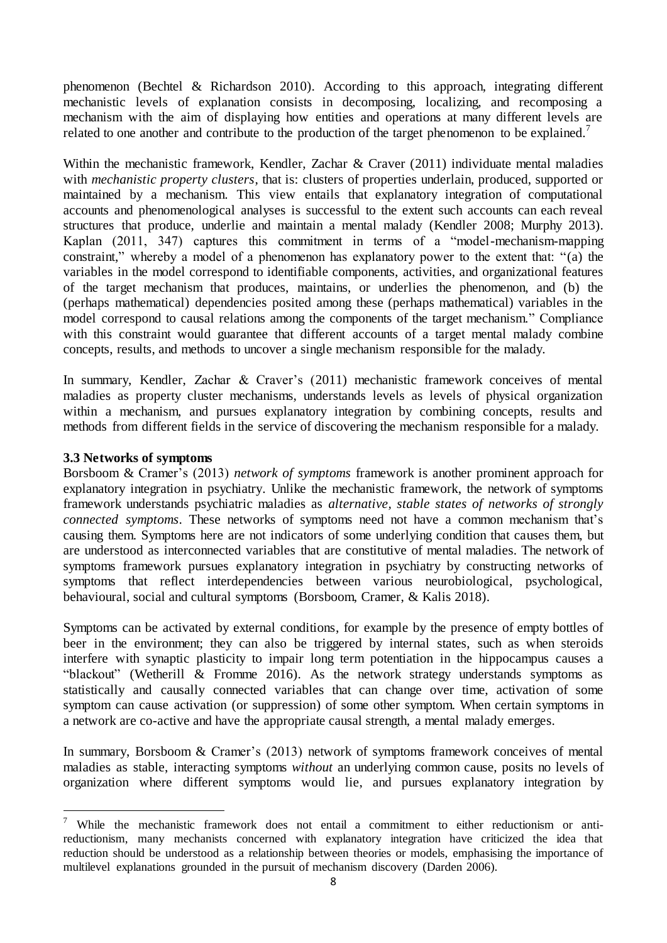phenomenon (Bechtel & Richardson 2010). According to this approach, integrating different mechanistic levels of explanation consists in decomposing, localizing, and recomposing a mechanism with the aim of displaying how entities and operations at many different levels are related to one another and contribute to the production of the target phenomenon to be explained.<sup>7</sup>

Within the mechanistic framework, Kendler, Zachar & Craver (2011) individuate mental maladies with *mechanistic property clusters*, that is: clusters of properties underlain, produced, supported or maintained by a mechanism. This view entails that explanatory integration of computational accounts and phenomenological analyses is successful to the extent such accounts can each reveal structures that produce, underlie and maintain a mental malady (Kendler 2008; Murphy 2013). Kaplan (2011, 347) captures this commitment in terms of a "model-mechanism-mapping constraint," whereby a model of a phenomenon has explanatory power to the extent that: "(a) the variables in the model correspond to identifiable components, activities, and organizational features of the target mechanism that produces, maintains, or underlies the phenomenon, and (b) the (perhaps mathematical) dependencies posited among these (perhaps mathematical) variables in the model correspond to causal relations among the components of the target mechanism." Compliance with this constraint would guarantee that different accounts of a target mental malady combine concepts, results, and methods to uncover a single mechanism responsible for the malady.

In summary, Kendler, Zachar & Craver's (2011) mechanistic framework conceives of mental maladies as property cluster mechanisms, understands levels as levels of physical organization within a mechanism, and pursues explanatory integration by combining concepts, results and methods from different fields in the service of discovering the mechanism responsible for a malady.

# **3.3 Networks of symptoms**

j

Borsboom & Cramer's (2013) *network of symptoms* framework is another prominent approach for explanatory integration in psychiatry. Unlike the mechanistic framework, the network of symptoms framework understands psychiatric maladies as *alternative, stable states of networks of strongly connected symptoms*. These networks of symptoms need not have a common mechanism that's causing them. Symptoms here are not indicators of some underlying condition that causes them, but are understood as interconnected variables that are constitutive of mental maladies. The network of symptoms framework pursues explanatory integration in psychiatry by constructing networks of symptoms that reflect interdependencies between various neurobiological, psychological, behavioural, social and cultural symptoms (Borsboom, Cramer, & Kalis 2018).

Symptoms can be activated by external conditions, for example by the presence of empty bottles of beer in the environment; they can also be triggered by internal states, such as when steroids interfere with synaptic plasticity to impair long term potentiation in the hippocampus causes a "blackout" (Wetherill & Fromme 2016). As the network strategy understands symptoms as statistically and causally connected variables that can change over time, activation of some symptom can cause activation (or suppression) of some other symptom. When certain symptoms in a network are co-active and have the appropriate causal strength, a mental malady emerges.

In summary, Borsboom & Cramer's (2013) network of symptoms framework conceives of mental maladies as stable, interacting symptoms *without* an underlying common cause, posits no levels of organization where different symptoms would lie, and pursues explanatory integration by

<sup>&</sup>lt;sup>7</sup> While the mechanistic framework does not entail a commitment to either reductionism or antireductionism, many mechanists concerned with explanatory integration have criticized the idea that reduction should be understood as a relationship between theories or models, emphasising the importance of multilevel explanations grounded in the pursuit of mechanism discovery (Darden 2006).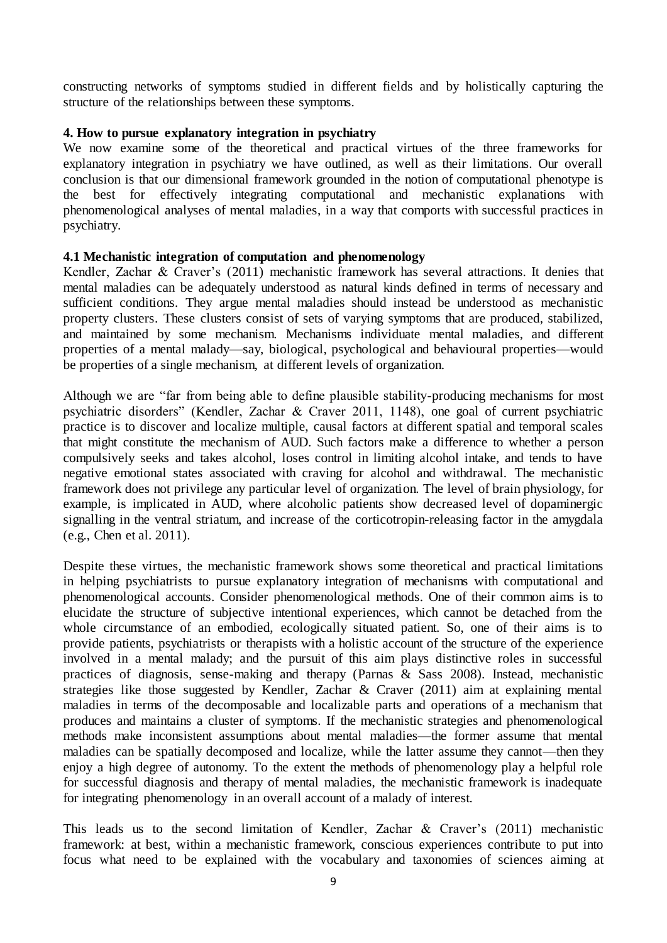constructing networks of symptoms studied in different fields and by holistically capturing the structure of the relationships between these symptoms.

## **4. How to pursue explanatory integration in psychiatry**

We now examine some of the theoretical and practical virtues of the three frameworks for explanatory integration in psychiatry we have outlined, as well as their limitations. Our overall conclusion is that our dimensional framework grounded in the notion of computational phenotype is the best for effectively integrating computational and mechanistic explanations with phenomenological analyses of mental maladies, in a way that comports with successful practices in psychiatry.

# **4.1 Mechanistic integration of computation and phenomenology**

Kendler, Zachar & Craver's (2011) mechanistic framework has several attractions. It denies that mental maladies can be adequately understood as natural kinds defined in terms of necessary and sufficient conditions. They argue mental maladies should instead be understood as mechanistic property clusters. These clusters consist of sets of varying symptoms that are produced, stabilized, and maintained by some mechanism. Mechanisms individuate mental maladies, and different properties of a mental malady—say, biological, psychological and behavioural properties—would be properties of a single mechanism, at different levels of organization.

Although we are "far from being able to define plausible stability-producing mechanisms for most psychiatric disorders" (Kendler, Zachar & Craver 2011, 1148), one goal of current psychiatric practice is to discover and localize multiple, causal factors at different spatial and temporal scales that might constitute the mechanism of AUD. Such factors make a difference to whether a person compulsively seeks and takes alcohol, loses control in limiting alcohol intake, and tends to have negative emotional states associated with craving for alcohol and withdrawal. The mechanistic framework does not privilege any particular level of organization. The level of brain physiology, for example, is implicated in AUD, where alcoholic patients show decreased level of dopaminergic signalling in the ventral striatum, and increase of the corticotropin-releasing factor in the amygdala (e.g., Chen et al. 2011).

Despite these virtues, the mechanistic framework shows some theoretical and practical limitations in helping psychiatrists to pursue explanatory integration of mechanisms with computational and phenomenological accounts. Consider phenomenological methods. One of their common aims is to elucidate the structure of subjective intentional experiences, which cannot be detached from the whole circumstance of an embodied, ecologically situated patient. So, one of their aims is to provide patients, psychiatrists or therapists with a holistic account of the structure of the experience involved in a mental malady; and the pursuit of this aim plays distinctive roles in successful practices of diagnosis, sense-making and therapy (Parnas & Sass 2008). Instead, mechanistic strategies like those suggested by Kendler, Zachar & Craver (2011) aim at explaining mental maladies in terms of the decomposable and localizable parts and operations of a mechanism that produces and maintains a cluster of symptoms. If the mechanistic strategies and phenomenological methods make inconsistent assumptions about mental maladies—the former assume that mental maladies can be spatially decomposed and localize, while the latter assume they cannot—then they enjoy a high degree of autonomy. To the extent the methods of phenomenology play a helpful role for successful diagnosis and therapy of mental maladies, the mechanistic framework is inadequate for integrating phenomenology in an overall account of a malady of interest.

This leads us to the second limitation of Kendler, Zachar & Craver's (2011) mechanistic framework: at best, within a mechanistic framework, conscious experiences contribute to put into focus what need to be explained with the vocabulary and taxonomies of sciences aiming at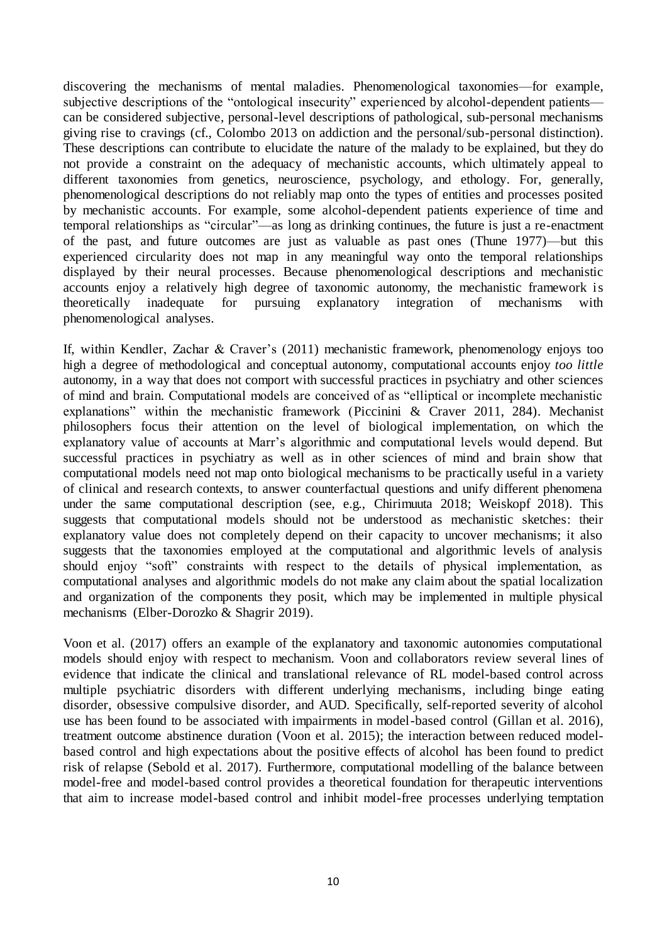discovering the mechanisms of mental maladies. Phenomenological taxonomies—for example, subjective descriptions of the "ontological insecurity" experienced by alcohol-dependent patients can be considered subjective, personal-level descriptions of pathological, sub-personal mechanisms giving rise to cravings (cf., Colombo 2013 on addiction and the personal/sub-personal distinction). These descriptions can contribute to elucidate the nature of the malady to be explained, but they do not provide a constraint on the adequacy of mechanistic accounts, which ultimately appeal to different taxonomies from genetics, neuroscience, psychology, and ethology. For, generally, phenomenological descriptions do not reliably map onto the types of entities and processes posited by mechanistic accounts. For example, some alcohol-dependent patients experience of time and temporal relationships as "circular"—as long as drinking continues, the future is just a re-enactment of the past, and future outcomes are just as valuable as past ones (Thune 1977)—but this experienced circularity does not map in any meaningful way onto the temporal relationships displayed by their neural processes. Because phenomenological descriptions and mechanistic accounts enjoy a relatively high degree of taxonomic autonomy, the mechanistic framework is theoretically inadequate for pursuing explanatory integration of mechanisms with phenomenological analyses.

If, within Kendler, Zachar & Craver's (2011) mechanistic framework, phenomenology enjoys too high a degree of methodological and conceptual autonomy, computational accounts enjoy *too little* autonomy, in a way that does not comport with successful practices in psychiatry and other sciences of mind and brain. Computational models are conceived of as "elliptical or incomplete mechanistic explanations" within the mechanistic framework (Piccinini & Craver 2011, 284). Mechanist philosophers focus their attention on the level of biological implementation, on which the explanatory value of accounts at Marr's algorithmic and computational levels would depend. But successful practices in psychiatry as well as in other sciences of mind and brain show that computational models need not map onto biological mechanisms to be practically useful in a variety of clinical and research contexts, to answer counterfactual questions and unify different phenomena under the same computational description (see, e.g., Chirimuuta 2018; Weiskopf 2018). This suggests that computational models should not be understood as mechanistic sketches: their explanatory value does not completely depend on their capacity to uncover mechanisms; it also suggests that the taxonomies employed at the computational and algorithmic levels of analysis should enjoy "soft" constraints with respect to the details of physical implementation, as computational analyses and algorithmic models do not make any claim about the spatial localization and organization of the components they posit, which may be implemented in multiple physical mechanisms (Elber-Dorozko & Shagrir 2019).

Voon et al. (2017) offers an example of the explanatory and taxonomic autonomies computational models should enjoy with respect to mechanism. Voon and collaborators review several lines of evidence that indicate the clinical and translational relevance of RL model-based control across multiple psychiatric disorders with different underlying mechanisms, including binge eating disorder, obsessive compulsive disorder, and AUD. Specifically, self-reported severity of alcohol use has been found to be associated with impairments in model-based control (Gillan et al. 2016), treatment outcome abstinence duration (Voon et al. 2015); the interaction between reduced modelbased control and high expectations about the positive effects of alcohol has been found to predict risk of relapse (Sebold et al. 2017). Furthermore, computational modelling of the balance between model-free and model-based control provides a theoretical foundation for therapeutic interventions that aim to increase model-based control and inhibit model-free processes underlying temptation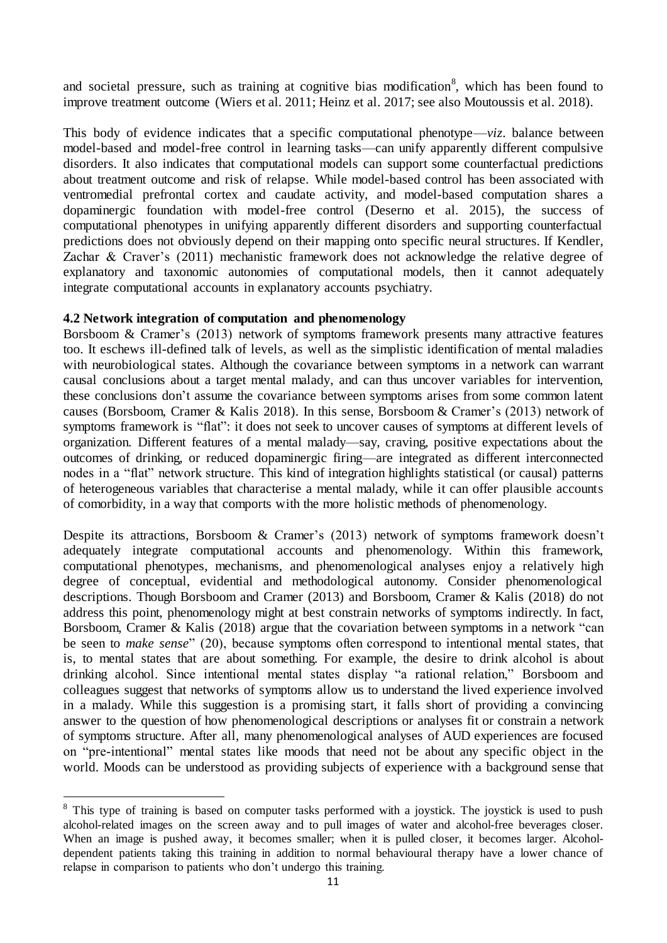and societal pressure, such as training at cognitive bias modification<sup>8</sup>, which has been found to improve treatment outcome (Wiers et al. 2011; Heinz et al. 2017; see also Moutoussis et al. 2018).

This body of evidence indicates that a specific computational phenotype—*viz*. balance between model-based and model-free control in learning tasks—can unify apparently different compulsive disorders. It also indicates that computational models can support some counterfactual predictions about treatment outcome and risk of relapse. While model-based control has been associated with ventromedial prefrontal cortex and caudate activity, and model-based computation shares a dopaminergic foundation with model-free control (Deserno et al. 2015), the success of computational phenotypes in unifying apparently different disorders and supporting counterfactual predictions does not obviously depend on their mapping onto specific neural structures. If Kendler, Zachar & Craver's (2011) mechanistic framework does not acknowledge the relative degree of explanatory and taxonomic autonomies of computational models, then it cannot adequately integrate computational accounts in explanatory accounts psychiatry.

#### **4.2 Network integration of computation and phenomenology**

 $\overline{a}$ 

Borsboom & Cramer's (2013) network of symptoms framework presents many attractive features too. It eschews ill-defined talk of levels, as well as the simplistic identification of mental maladies with neurobiological states. Although the covariance between symptoms in a network can warrant causal conclusions about a target mental malady, and can thus uncover variables for intervention, these conclusions don't assume the covariance between symptoms arises from some common latent causes (Borsboom, Cramer & Kalis 2018). In this sense, Borsboom & Cramer's (2013) network of symptoms framework is "flat": it does not seek to uncover causes of symptoms at different levels of organization. Different features of a mental malady—say, craving, positive expectations about the outcomes of drinking, or reduced dopaminergic firing—are integrated as different interconnected nodes in a "flat" network structure. This kind of integration highlights statistical (or causal) patterns of heterogeneous variables that characterise a mental malady, while it can offer plausible accounts of comorbidity, in a way that comports with the more holistic methods of phenomenology.

Despite its attractions, Borsboom & Cramer's (2013) network of symptoms framework doesn't adequately integrate computational accounts and phenomenology. Within this framework, computational phenotypes, mechanisms, and phenomenological analyses enjoy a relatively high degree of conceptual, evidential and methodological autonomy. Consider phenomenological descriptions. Though Borsboom and Cramer (2013) and Borsboom, Cramer & Kalis (2018) do not address this point, phenomenology might at best constrain networks of symptoms indirectly. In fact, Borsboom, Cramer & Kalis (2018) argue that the covariation between symptoms in a network "can be seen to *make sense*" (20), because symptoms often correspond to intentional mental states, that is, to mental states that are about something. For example, the desire to drink alcohol is about drinking alcohol. Since intentional mental states display "a rational relation," Borsboom and colleagues suggest that networks of symptoms allow us to understand the lived experience involved in a malady. While this suggestion is a promising start, it falls short of providing a convincing answer to the question of how phenomenological descriptions or analyses fit or constrain a network of symptoms structure. After all, many phenomenological analyses of AUD experiences are focused on "pre-intentional" mental states like moods that need not be about any specific object in the world. Moods can be understood as providing subjects of experience with a background sense that

<sup>&</sup>lt;sup>8</sup> This type of training is based on computer tasks performed with a joystick. The joystick is used to push alcohol-related images on the screen away and to pull images of water and alcohol-free beverages closer. When an image is pushed away, it becomes smaller; when it is pulled closer, it becomes larger. Alcoholdependent patients taking this training in addition to normal behavioural therapy have a lower chance of relapse in comparison to patients who don't undergo this training.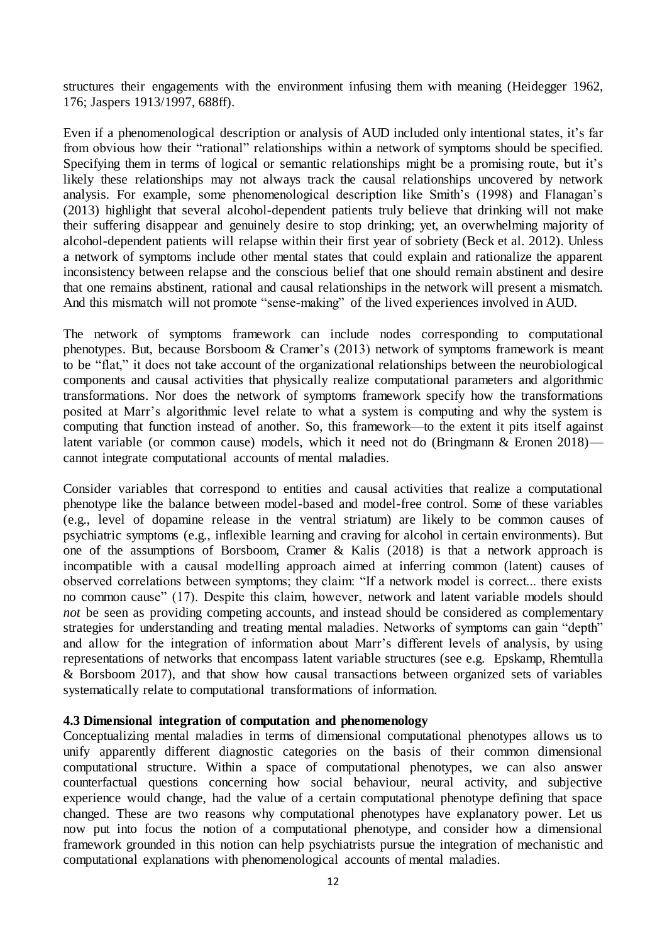structures their engagements with the environment infusing them with meaning (Heidegger 1962, 176; Jaspers 1913/1997, 688ff).

Even if a phenomenological description or analysis of AUD included only intentional states, it's far from obvious how their "rational" relationships within a network of symptoms should be specified. Specifying them in terms of logical or semantic relationships might be a promising route, but it's likely these relationships may not always track the causal relationships uncovered by network analysis. For example, some phenomenological description like Smith's (1998) and Flanagan's (2013) highlight that several alcohol-dependent patients truly believe that drinking will not make their suffering disappear and genuinely desire to stop drinking; yet, an overwhelming majority of alcohol-dependent patients will relapse within their first year of sobriety (Beck et al. 2012). Unless a network of symptoms include other mental states that could explain and rationalize the apparent inconsistency between relapse and the conscious belief that one should remain abstinent and desire that one remains abstinent, rational and causal relationships in the network will present a mismatch. And this mismatch will not promote "sense-making" of the lived experiences involved in AUD.

The network of symptoms framework can include nodes corresponding to computational phenotypes. But, because Borsboom & Cramer's (2013) network of symptoms framework is meant to be "flat," it does not take account of the organizational relationships between the neurobiological components and causal activities that physically realize computational parameters and algorithmic transformations. Nor does the network of symptoms framework specify how the transformations posited at Marr's algorithmic level relate to what a system is computing and why the system is computing that function instead of another. So, this framework—to the extent it pits itself against latent variable (or common cause) models, which it need not do (Bringmann & Eronen 2018) cannot integrate computational accounts of mental maladies.

Consider variables that correspond to entities and causal activities that realize a computational phenotype like the balance between model-based and model-free control. Some of these variables (e.g., level of dopamine release in the ventral striatum) are likely to be common causes of psychiatric symptoms (e.g., inflexible learning and craving for alcohol in certain environments). But one of the assumptions of Borsboom, Cramer & Kalis (2018) is that a network approach is incompatible with a causal modelling approach aimed at inferring common (latent) causes of observed correlations between symptoms; they claim: "If a network model is correct... there exists no common cause" (17). Despite this claim, however, network and latent variable models should *not* be seen as providing competing accounts, and instead should be considered as complementary strategies for understanding and treating mental maladies. Networks of symptoms can gain "depth" and allow for the integration of information about Marr's different levels of analysis, by using representations of networks that encompass latent variable structures (see e.g. Epskamp, Rhemtulla & Borsboom 2017), and that show how causal transactions between organized sets of variables systematically relate to computational transformations of information.

#### **4.3 Dimensional integration of computation and phenomenology**

Conceptualizing mental maladies in terms of dimensional computational phenotypes allows us to unify apparently different diagnostic categories on the basis of their common dimensional computational structure. Within a space of computational phenotypes, we can also answer counterfactual questions concerning how social behaviour, neural activity, and subjective experience would change, had the value of a certain computational phenotype defining that space changed. These are two reasons why computational phenotypes have explanatory power. Let us now put into focus the notion of a computational phenotype, and consider how a dimensional framework grounded in this notion can help psychiatrists pursue the integration of mechanistic and computational explanations with phenomenological accounts of mental maladies.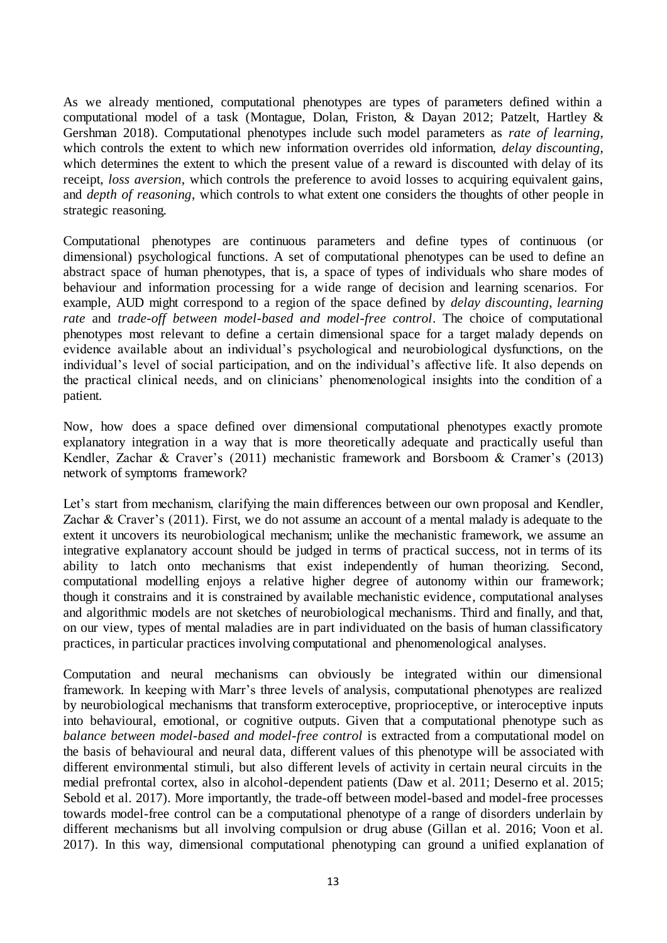As we already mentioned, computational phenotypes are types of parameters defined within a computational model of a task (Montague, Dolan, Friston, & Dayan 2012; Patzelt, Hartley & Gershman 2018). Computational phenotypes include such model parameters as *rate of learning*, which controls the extent to which new information overrides old information, *delay discounting*, which determines the extent to which the present value of a reward is discounted with delay of its receipt, *loss aversion*, which controls the preference to avoid losses to acquiring equivalent gains, and *depth of reasoning*, which controls to what extent one considers the thoughts of other people in strategic reasoning.

Computational phenotypes are continuous parameters and define types of continuous (or dimensional) psychological functions. A set of computational phenotypes can be used to define an abstract space of human phenotypes, that is, a space of types of individuals who share modes of behaviour and information processing for a wide range of decision and learning scenarios. For example, AUD might correspond to a region of the space defined by *delay discounting*, *learning rate* and *trade-off between model-based and model-free control*. The choice of computational phenotypes most relevant to define a certain dimensional space for a target malady depends on evidence available about an individual's psychological and neurobiological dysfunctions, on the individual's level of social participation, and on the individual's affective life. It also depends on the practical clinical needs, and on clinicians' phenomenological insights into the condition of a patient.

Now, how does a space defined over dimensional computational phenotypes exactly promote explanatory integration in a way that is more theoretically adequate and practically useful than Kendler, Zachar & Craver's (2011) mechanistic framework and Borsboom & Cramer's (2013) network of symptoms framework?

Let's start from mechanism, clarifying the main differences between our own proposal and Kendler, Zachar & Craver's (2011). First, we do not assume an account of a mental malady is adequate to the extent it uncovers its neurobiological mechanism; unlike the mechanistic framework, we assume an integrative explanatory account should be judged in terms of practical success, not in terms of its ability to latch onto mechanisms that exist independently of human theorizing. Second, computational modelling enjoys a relative higher degree of autonomy within our framework; though it constrains and it is constrained by available mechanistic evidence, computational analyses and algorithmic models are not sketches of neurobiological mechanisms. Third and finally, and that, on our view, types of mental maladies are in part individuated on the basis of human classificatory practices, in particular practices involving computational and phenomenological analyses.

Computation and neural mechanisms can obviously be integrated within our dimensional framework. In keeping with Marr's three levels of analysis, computational phenotypes are realized by neurobiological mechanisms that transform exteroceptive, proprioceptive, or interoceptive inputs into behavioural, emotional, or cognitive outputs. Given that a computational phenotype such as *balance between model-based and model-free control* is extracted from a computational model on the basis of behavioural and neural data, different values of this phenotype will be associated with different environmental stimuli, but also different levels of activity in certain neural circuits in the medial prefrontal cortex, also in alcohol-dependent patients (Daw et al. 2011; Deserno et al. 2015; Sebold et al. 2017). More importantly, the trade-off between model-based and model-free processes towards model-free control can be a computational phenotype of a range of disorders underlain by different mechanisms but all involving compulsion or drug abuse (Gillan et al. 2016; Voon et al. 2017). In this way, dimensional computational phenotyping can ground a unified explanation of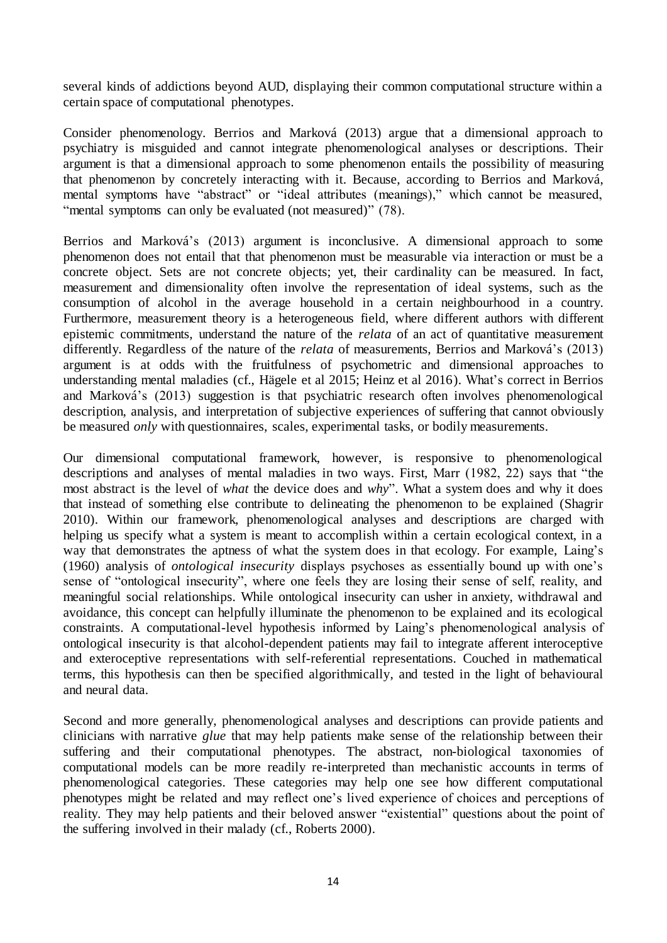several kinds of addictions beyond AUD, displaying their common computational structure within a certain space of computational phenotypes.

Consider phenomenology. Berrios and Marková (2013) argue that a dimensional approach to psychiatry is misguided and cannot integrate phenomenological analyses or descriptions. Their argument is that a dimensional approach to some phenomenon entails the possibility of measuring that phenomenon by concretely interacting with it. Because, according to Berrios and Marková, mental symptoms have "abstract" or "ideal attributes (meanings)," which cannot be measured, "mental symptoms can only be evaluated (not measured)" (78).

Berrios and Marková's (2013) argument is inconclusive. A dimensional approach to some phenomenon does not entail that that phenomenon must be measurable via interaction or must be a concrete object. Sets are not concrete objects; yet, their cardinality can be measured. In fact, measurement and dimensionality often involve the representation of ideal systems, such as the consumption of alcohol in the average household in a certain neighbourhood in a country. Furthermore, measurement theory is a heterogeneous field, where different authors with different epistemic commitments, understand the nature of the *relata* of an act of quantitative measurement differently. Regardless of the nature of the *relata* of measurements, Berrios and Marková's (2013) argument is at odds with the fruitfulness of psychometric and dimensional approaches to understanding mental maladies (cf., Hägele et al 2015; Heinz et al 2016). What's correct in Berrios and Marková's (2013) suggestion is that psychiatric research often involves phenomenological description, analysis, and interpretation of subjective experiences of suffering that cannot obviously be measured *only* with questionnaires, scales, experimental tasks, or bodily measurements.

Our dimensional computational framework, however, is responsive to phenomenological descriptions and analyses of mental maladies in two ways. First, Marr (1982, 22) says that "the most abstract is the level of *what* the device does and *why*". What a system does and why it does that instead of something else contribute to delineating the phenomenon to be explained (Shagrir 2010). Within our framework, phenomenological analyses and descriptions are charged with helping us specify what a system is meant to accomplish within a certain ecological context, in a way that demonstrates the aptness of what the system does in that ecology. For example, Laing's (1960) analysis of *ontological insecurity* displays psychoses as essentially bound up with one's sense of "ontological insecurity", where one feels they are losing their sense of self, reality, and meaningful social relationships. While ontological insecurity can usher in anxiety, withdrawal and avoidance, this concept can helpfully illuminate the phenomenon to be explained and its ecological constraints. A computational-level hypothesis informed by Laing's phenomenological analysis of ontological insecurity is that alcohol-dependent patients may fail to integrate afferent interoceptive and exteroceptive representations with self-referential representations. Couched in mathematical terms, this hypothesis can then be specified algorithmically, and tested in the light of behavioural and neural data.

Second and more generally, phenomenological analyses and descriptions can provide patients and clinicians with narrative *glue* that may help patients make sense of the relationship between their suffering and their computational phenotypes. The abstract, non-biological taxonomies of computational models can be more readily re-interpreted than mechanistic accounts in terms of phenomenological categories. These categories may help one see how different computational phenotypes might be related and may reflect one's lived experience of choices and perceptions of reality. They may help patients and their beloved answer "existential" questions about the point of the suffering involved in their malady (cf., Roberts 2000).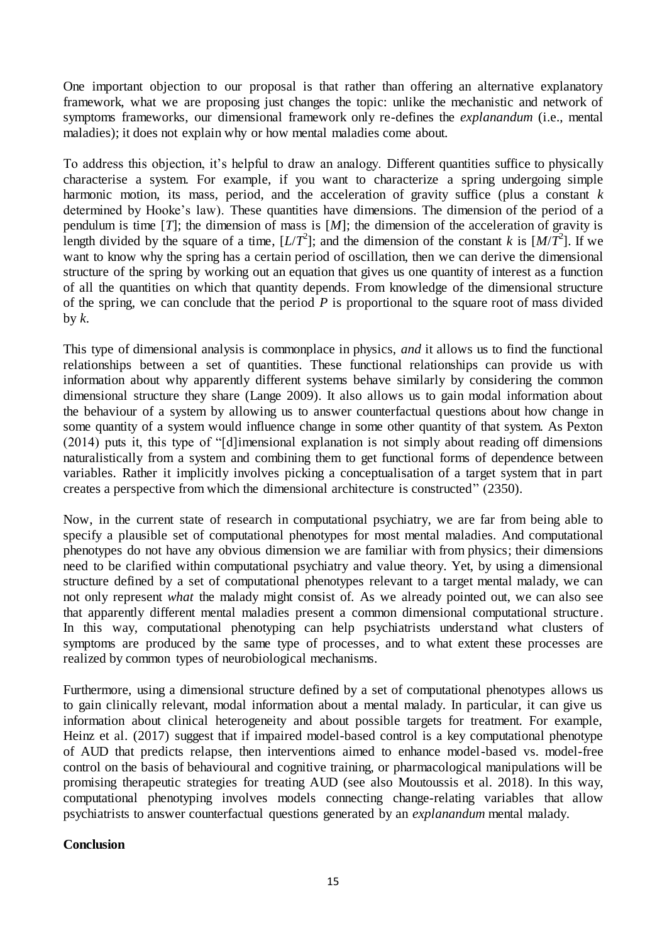One important objection to our proposal is that rather than offering an alternative explanatory framework, what we are proposing just changes the topic: unlike the mechanistic and network of symptoms frameworks, our dimensional framework only re-defines the *explanandum* (i.e., mental maladies); it does not explain why or how mental maladies come about.

To address this objection, it's helpful to draw an analogy. Different quantities suffice to physically characterise a system. For example, if you want to characterize a spring undergoing simple harmonic motion, its mass, period, and the acceleration of gravity suffice (plus a constant *k* determined by Hooke's law). These quantities have dimensions. The dimension of the period of a pendulum is time  $[T]$ ; the dimension of mass is  $[M]$ ; the dimension of the acceleration of gravity is length divided by the square of a time,  $[L/T^2]$ ; and the dimension of the constant *k* is  $[M/T^2]$ . If we want to know why the spring has a certain period of oscillation, then we can derive the dimensional structure of the spring by working out an equation that gives us one quantity of interest as a function of all the quantities on which that quantity depends. From knowledge of the dimensional structure of the spring, we can conclude that the period *P* is proportional to the square root of mass divided by  $k$ .

This type of dimensional analysis is commonplace in physics, *and* it allows us to find the functional relationships between a set of quantities. These functional relationships can provide us with information about why apparently different systems behave similarly by considering the common dimensional structure they share (Lange 2009). It also allows us to gain modal information about the behaviour of a system by allowing us to answer counterfactual questions about how change in some quantity of a system would influence change in some other quantity of that system. As Pexton (2014) puts it, this type of "[d]imensional explanation is not simply about reading off dimensions naturalistically from a system and combining them to get functional forms of dependence between variables. Rather it implicitly involves picking a conceptualisation of a target system that in part creates a perspective from which the dimensional architecture is constructed" (2350).

Now, in the current state of research in computational psychiatry, we are far from being able to specify a plausible set of computational phenotypes for most mental maladies. And computational phenotypes do not have any obvious dimension we are familiar with from physics; their dimensions need to be clarified within computational psychiatry and value theory. Yet, by using a dimensional structure defined by a set of computational phenotypes relevant to a target mental malady, we can not only represent *what* the malady might consist of. As we already pointed out, we can also see that apparently different mental maladies present a common dimensional computational structure. In this way, computational phenotyping can help psychiatrists understand what clusters of symptoms are produced by the same type of processes, and to what extent these processes are realized by common types of neurobiological mechanisms.

Furthermore, using a dimensional structure defined by a set of computational phenotypes allows us to gain clinically relevant, modal information about a mental malady. In particular, it can give us information about clinical heterogeneity and about possible targets for treatment. For example, Heinz et al. (2017) suggest that if impaired model-based control is a key computational phenotype of AUD that predicts relapse, then interventions aimed to enhance model-based vs. model-free control on the basis of behavioural and cognitive training, or pharmacological manipulations will be promising therapeutic strategies for treating AUD (see also Moutoussis et al. 2018). In this way, computational phenotyping involves models connecting change-relating variables that allow psychiatrists to answer counterfactual questions generated by an *explanandum* mental malady.

#### **Conclusion**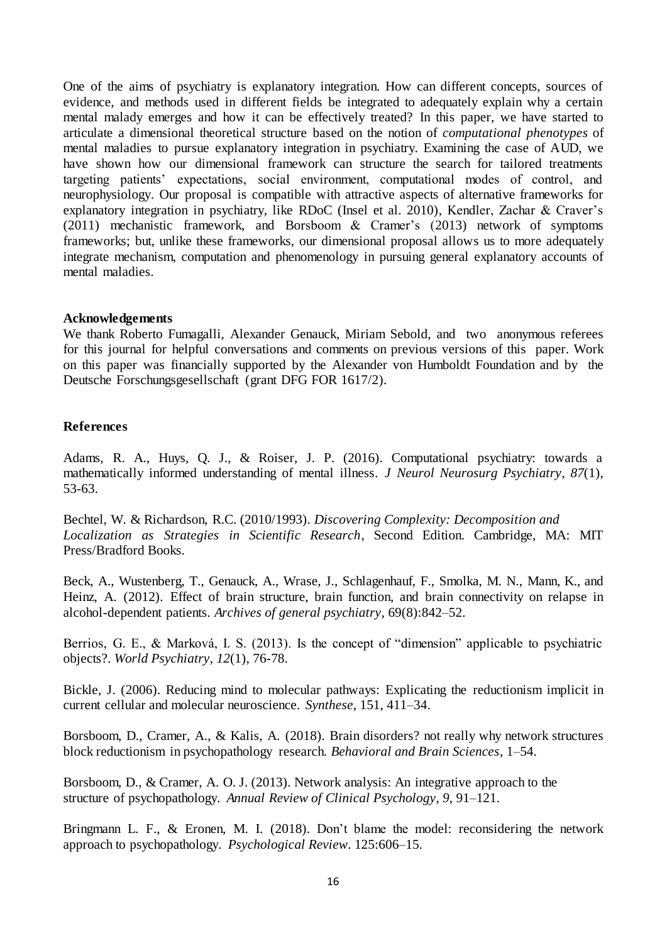One of the aims of psychiatry is explanatory integration. How can different concepts, sources of evidence, and methods used in different fields be integrated to adequately explain why a certain mental malady emerges and how it can be effectively treated? In this paper, we have started to articulate a dimensional theoretical structure based on the notion of *computational phenotypes* of mental maladies to pursue explanatory integration in psychiatry. Examining the case of AUD, we have shown how our dimensional framework can structure the search for tailored treatments targeting patients' expectations, social environment, computational modes of control, and neurophysiology. Our proposal is compatible with attractive aspects of alternative frameworks for explanatory integration in psychiatry, like RDoC (Insel et al. 2010), Kendler, Zachar & Craver's (2011) mechanistic framework, and Borsboom & Cramer's (2013) network of symptoms frameworks; but, unlike these frameworks, our dimensional proposal allows us to more adequately integrate mechanism, computation and phenomenology in pursuing general explanatory accounts of mental maladies.

#### **Acknowledgements**

We thank Roberto Fumagalli, Alexander Genauck, Miriam Sebold, and two anonymous referees for this journal for helpful conversations and comments on previous versions of this paper. Work on this paper was financially supported by the Alexander von Humboldt Foundation and by the Deutsche Forschungsgesellschaft (grant DFG FOR 1617/2).

#### **References**

Adams, R. A., Huys, Q. J., & Roiser, J. P. (2016). Computational psychiatry: towards a mathematically informed understanding of mental illness. *J Neurol Neurosurg Psychiatry*, *87*(1), 53-63.

Bechtel, W. & Richardson, R.C. (2010/1993). *Discovering Complexity: Decomposition and Localization as Strategies in Scientific Research*, Second Edition. Cambridge, MA: MIT Press/Bradford Books.

Beck, A., Wustenberg, T., Genauck, A., Wrase, J., Schlagenhauf, F., Smolka, M. N., Mann, K., and Heinz, A. (2012). Effect of brain structure, brain function, and brain connectivity on relapse in alcohol-dependent patients. *Archives of general psychiatry*, 69(8):842–52.

Berrios, G. E., & Marková, I. S. (2013). Is the concept of "dimension" applicable to psychiatric objects?. *World Psychiatry*, *12*(1), 76-78.

Bickle, J. (2006). Reducing mind to molecular pathways: Explicating the reductionism implicit in current cellular and molecular neuroscience. *Synthese*, 151, 411–34.

Borsboom, D., Cramer, A., & Kalis, A. (2018). Brain disorders? not really why network structures block reductionism in psychopathology research. *Behavioral and Brain Sciences*, 1–54.

Borsboom, D., & Cramer, A. O. J. (2013). Network analysis: An integrative approach to the structure of psychopathology. *Annual Review of Clinical Psychology*, *9*, 91–121.

Bringmann L. F., & Eronen, M. I. (2018). Don't blame the model: reconsidering the network approach to psychopathology. *Psychological Review*. 125:606–15.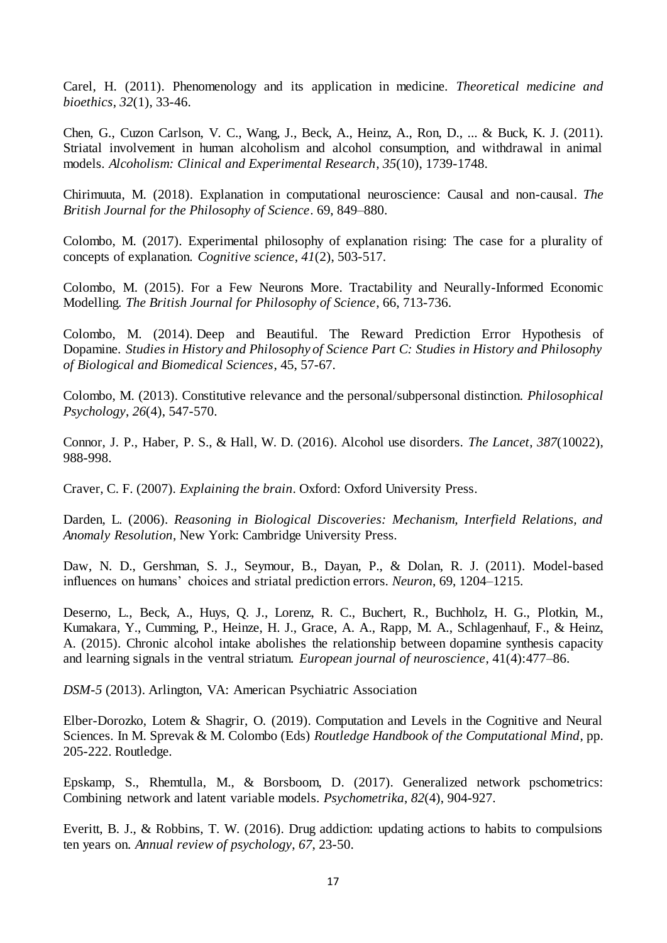Carel, H. (2011). Phenomenology and its application in medicine. *Theoretical medicine and bioethics*, *32*(1), 33-46.

Chen, G., Cuzon Carlson, V. C., Wang, J., Beck, A., Heinz, A., Ron, D., ... & Buck, K. J. (2011). Striatal involvement in human alcoholism and alcohol consumption, and withdrawal in animal models. *Alcoholism: Clinical and Experimental Research*, *35*(10), 1739-1748.

Chirimuuta, M. (2018). Explanation in computational neuroscience: Causal and non-causal. *The British Journal for the Philosophy of Science*. 69, 849–880.

Colombo, M. (2017). Experimental philosophy of explanation rising: The case for a plurality of concepts of explanation. *Cognitive science*, *41*(2), 503-517.

Colombo, M. (2015). For a Few Neurons More. Tractability and Neurally-Informed Economic Modelling. *The British Journal for Philosophy of Science*, 66, 713-736.

Colombo, M. (2014). Deep and Beautiful. The Reward Prediction Error Hypothesis of Dopamine. *Studies in History and Philosophy of Science Part C: Studies in History and Philosophy of Biological and Biomedical Sciences*, 45, 57-67.

Colombo, M. (2013). Constitutive relevance and the personal/subpersonal distinction. *Philosophical Psychology*, *26*(4), 547-570.

Connor, J. P., Haber, P. S., & Hall, W. D. (2016). Alcohol use disorders. *The Lancet*, *387*(10022), 988-998.

Craver, C. F. (2007). *Explaining the brain*. Oxford: Oxford University Press.

Darden, L. (2006). *Reasoning in Biological Discoveries: Mechanism, Interfield Relations, and Anomaly Resolution*, New York: Cambridge University Press.

Daw, N. D., Gershman, S. J., Seymour, B., Dayan, P., & Dolan, R. J. (2011). Model-based influences on humans' choices and striatal prediction errors. *Neuron*, 69, 1204–1215.

Deserno, L., Beck, A., Huys, Q. J., Lorenz, R. C., Buchert, R., Buchholz, H. G., Plotkin, M., Kumakara, Y., Cumming, P., Heinze, H. J., Grace, A. A., Rapp, M. A., Schlagenhauf, F., & Heinz, A. (2015). Chronic alcohol intake abolishes the relationship between dopamine synthesis capacity and learning signals in the ventral striatum. *European journal of neuroscience*, 41(4):477–86.

*DSM-5* (2013). Arlington, VA: American Psychiatric Association

Elber-Dorozko, Lotem & Shagrir, O. (2019). Computation and Levels in the Cognitive and Neural Sciences. In M. Sprevak & M. Colombo (Eds) *Routledge Handbook of the Computational Mind*, pp. 205-222. Routledge.

Epskamp, S., Rhemtulla, M., & Borsboom, D. (2017). Generalized network pschometrics: Combining network and latent variable models. *Psychometrika*, *82*(4), 904-927.

Everitt, B. J., & Robbins, T. W. (2016). Drug addiction: updating actions to habits to compulsions ten years on. *Annual review of psychology*, *67*, 23-50.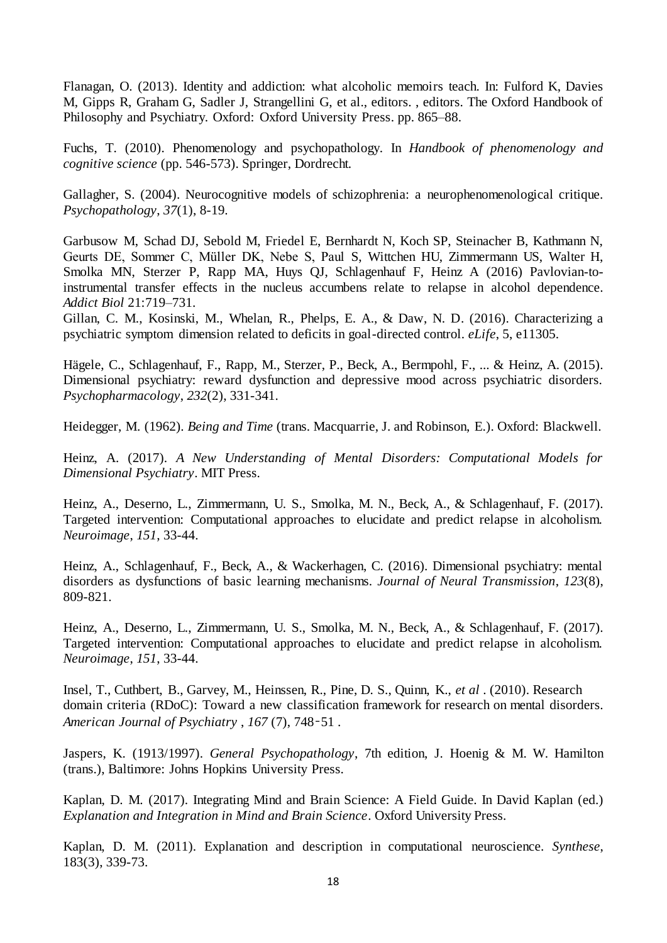Flanagan, O. (2013). Identity and addiction: what alcoholic memoirs teach. In: Fulford K, Davies M, Gipps R, Graham G, Sadler J, Strangellini G, et al., editors. , editors. The Oxford Handbook of Philosophy and Psychiatry. Oxford: Oxford University Press. pp. 865–88.

Fuchs, T. (2010). Phenomenology and psychopathology. In *Handbook of phenomenology and cognitive science* (pp. 546-573). Springer, Dordrecht.

Gallagher, S. (2004). Neurocognitive models of schizophrenia: a neurophenomenological critique. *Psychopathology*, *37*(1), 8-19.

Garbusow M, Schad DJ, Sebold M, Friedel E, Bernhardt N, Koch SP, Steinacher B, Kathmann N, Geurts DE, Sommer C, Müller DK, Nebe S, Paul S, Wittchen HU, Zimmermann US, Walter H, Smolka MN, Sterzer P, Rapp MA, Huys QJ, Schlagenhauf F, Heinz A (2016) Pavlovian-toinstrumental transfer effects in the nucleus accumbens relate to relapse in alcohol dependence. *Addict Biol* 21:719–731.

Gillan, C. M., Kosinski, M., Whelan, R., Phelps, E. A., & Daw, N. D. (2016). Characterizing a psychiatric symptom dimension related to deficits in goal-directed control. *eLife*, 5, e11305.

Hägele, C., Schlagenhauf, F., Rapp, M., Sterzer, P., Beck, A., Bermpohl, F., ... & Heinz, A. (2015). Dimensional psychiatry: reward dysfunction and depressive mood across psychiatric disorders. *Psychopharmacology*, *232*(2), 331-341.

Heidegger, M. (1962). *Being and Time* (trans. Macquarrie, J. and Robinson, E.). Oxford: Blackwell.

Heinz, A. (2017). *A New Understanding of Mental Disorders: Computational Models for Dimensional Psychiatry*. MIT Press.

Heinz, A., Deserno, L., Zimmermann, U. S., Smolka, M. N., Beck, A., & Schlagenhauf, F. (2017). Targeted intervention: Computational approaches to elucidate and predict relapse in alcoholism. *Neuroimage*, *151*, 33-44.

Heinz, A., Schlagenhauf, F., Beck, A., & Wackerhagen, C. (2016). Dimensional psychiatry: mental disorders as dysfunctions of basic learning mechanisms. *Journal of Neural Transmission*, *123*(8), 809-821.

Heinz, A., Deserno, L., Zimmermann, U. S., Smolka, M. N., Beck, A., & Schlagenhauf, F. (2017). Targeted intervention: Computational approaches to elucidate and predict relapse in alcoholism. *Neuroimage*, *151*, 33-44.

Insel, T., Cuthbert, B., Garvey, M., Heinssen, R., Pine, D. S., Quinn, K., *et al* . (2010). Research domain criteria (RDoC): Toward a new classification framework for research on mental disorders. *American Journal of Psychiatry* , *167* (7), 748–51 .

Jaspers, K. (1913/1997). *General Psychopathology*, 7th edition, J. Hoenig & M. W. Hamilton (trans.), Baltimore: Johns Hopkins University Press.

Kaplan, D. M. (2017). Integrating Mind and Brain Science: A Field Guide. In David Kaplan (ed.) *Explanation and Integration in Mind and Brain Science*. Oxford University Press.

Kaplan, D. M. (2011). Explanation and description in computational neuroscience. *Synthese*, 183(3), 339-73.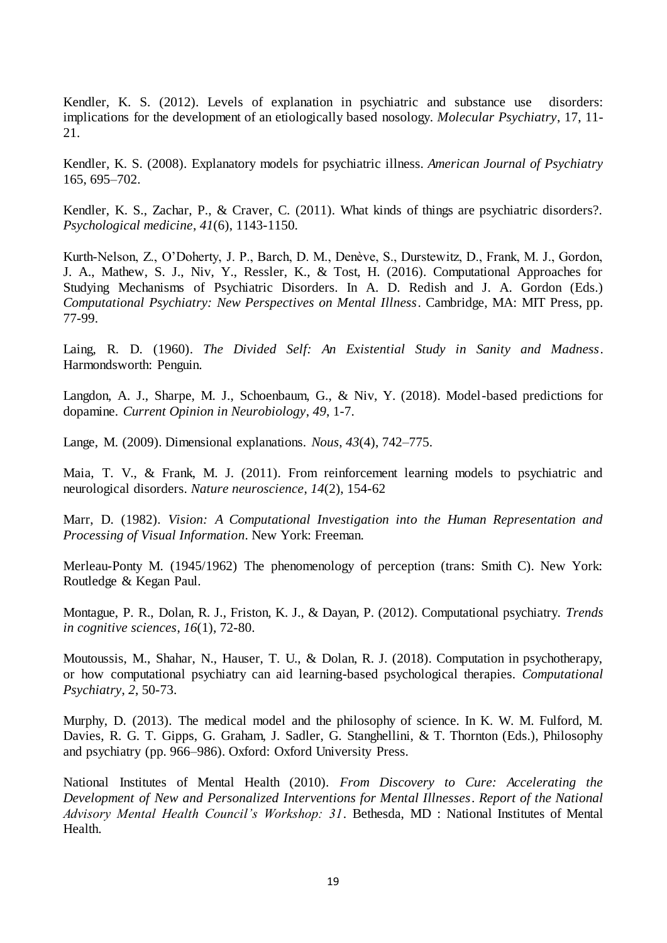Kendler, K. S. (2012). Levels of explanation in psychiatric and substance use disorders: implications for the development of an etiologically based nosology. *Molecular Psychiatry*, 17, 11- 21.

Kendler, K. S. (2008). Explanatory models for psychiatric illness. *American Journal of Psychiatry* 165, 695–702.

Kendler, K. S., Zachar, P., & Craver, C. (2011). What kinds of things are psychiatric disorders?. *Psychological medicine*, *41*(6), 1143-1150.

Kurth-Nelson, Z., O'Doherty, J. P., Barch, D. M., Denève, S., Durstewitz, D., Frank, M. J., Gordon, J. A., Mathew, S. J., Niv, Y., Ressler, K., & Tost, H. (2016). Computational Approaches for Studying Mechanisms of Psychiatric Disorders. In A. D. Redish and J. A. Gordon (Eds.) *Computational Psychiatry: New Perspectives on Mental Illness*. Cambridge, MA: MIT Press, pp. 77-99.

Laing, R. D. (1960). *The Divided Self: An Existential Study in Sanity and Madness*. Harmondsworth: Penguin.

Langdon, A. J., Sharpe, M. J., Schoenbaum, G., & Niv, Y. (2018). Model-based predictions for dopamine. *Current Opinion in Neurobiology*, *49*, 1-7.

Lange, M. (2009). Dimensional explanations. *Nous*, *43*(4), 742–775.

Maia, T. V., & Frank, M. J. (2011). From reinforcement learning models to psychiatric and neurological disorders. *Nature neuroscience*, *14*(2), 154-62

Marr, D. (1982). *Vision: A Computational Investigation into the Human Representation and Processing of Visual Information*. New York: Freeman.

Merleau-Ponty M. (1945/1962) The phenomenology of perception (trans: Smith C). New York: Routledge & Kegan Paul.

Montague, P. R., Dolan, R. J., Friston, K. J., & Dayan, P. (2012). Computational psychiatry. *Trends in cognitive sciences*, *16*(1), 72-80.

Moutoussis, M., Shahar, N., Hauser, T. U., & Dolan, R. J. (2018). Computation in psychotherapy, or how computational psychiatry can aid learning-based psychological therapies. *Computational Psychiatry*, *2*, 50-73.

Murphy, D. (2013). The medical model and the philosophy of science. In K. W. M. Fulford, M. Davies, R. G. T. Gipps, G. Graham, J. Sadler, G. Stanghellini, & T. Thornton (Eds.), Philosophy and psychiatry (pp. 966–986). Oxford: Oxford University Press.

National Institutes of Mental Health (2010). *From Discovery to Cure: Accelerating the Development of New and Personalized Interventions for Mental Illnesses*. *Report of the National Advisory Mental Health Council's Workshop: 31*. Bethesda, MD : National Institutes of Mental Health.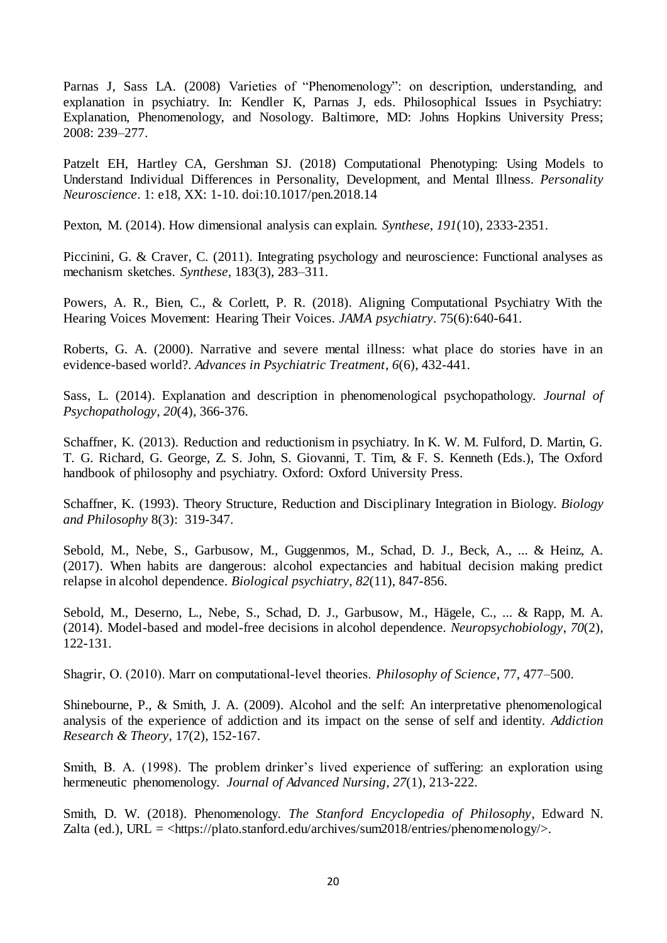Parnas J, Sass LA. (2008) Varieties of "Phenomenology": on description, understanding, and explanation in psychiatry. In: Kendler K, Parnas J, eds. Philosophical Issues in Psychiatry: Explanation, Phenomenology, and Nosology. Baltimore, MD: Johns Hopkins University Press; 2008: 239–277.

Patzelt EH, Hartley CA, Gershman SJ. (2018) Computational Phenotyping: Using Models to Understand Individual Differences in Personality, Development, and Mental Illness. *Personality Neuroscience*. 1: e18, XX: 1-10. doi:10.1017/pen.2018.14

Pexton, M. (2014). How dimensional analysis can explain. *Synthese*, *191*(10), 2333-2351.

Piccinini, G. & Craver, C. (2011). Integrating psychology and neuroscience: Functional analyses as mechanism sketches. *Synthese*, 183(3), 283–311.

Powers, A. R., Bien, C., & Corlett, P. R. (2018). Aligning Computational Psychiatry With the Hearing Voices Movement: Hearing Their Voices. *JAMA psychiatry*. 75(6):640-641.

Roberts, G. A. (2000). Narrative and severe mental illness: what place do stories have in an evidence-based world?. *Advances in Psychiatric Treatment*, *6*(6), 432-441.

Sass, L. (2014). Explanation and description in phenomenological psychopathology. *Journal of Psychopathology*, *20*(4), 366-376.

Schaffner, K. (2013). Reduction and reductionism in psychiatry. In K. W. M. Fulford, D. Martin, G. T. G. Richard, G. George, Z. S. John, S. Giovanni, T. Tim, & F. S. Kenneth (Eds.), The Oxford handbook of philosophy and psychiatry. Oxford: Oxford University Press.

Schaffner, K. (1993). Theory Structure, Reduction and Disciplinary Integration in Biology. *Biology and Philosophy* 8(3): 319-347.

Sebold, M., Nebe, S., Garbusow, M., Guggenmos, M., Schad, D. J., Beck, A., ... & Heinz, A. (2017). When habits are dangerous: alcohol expectancies and habitual decision making predict relapse in alcohol dependence. *Biological psychiatry*, *82*(11), 847-856.

Sebold, M., Deserno, L., Nebe, S., Schad, D. J., Garbusow, M., Hägele, C., ... & Rapp, M. A. (2014). Model-based and model-free decisions in alcohol dependence. *Neuropsychobiology*, *70*(2), 122-131.

Shagrir, O. (2010). Marr on computational‐level theories. *Philosophy of Science*, 77, 477–500.

Shinebourne, P., & Smith, J. A. (2009). Alcohol and the self: An interpretative phenomenological analysis of the experience of addiction and its impact on the sense of self and identity. *Addiction Research & Theory*, 17(2), 152-167.

Smith, B. A. (1998). The problem drinker's lived experience of suffering: an exploration using hermeneutic phenomenology. *Journal of Advanced Nursing*, *27*(1), 213-222.

Smith, D. W. (2018). Phenomenology. *The Stanford Encyclopedia of Philosophy*, Edward N. Zalta (ed.), URL =  $\langle \text{https://plato.stanford.edu/archives/sum2018/entries/phenomenology} \rangle$ .